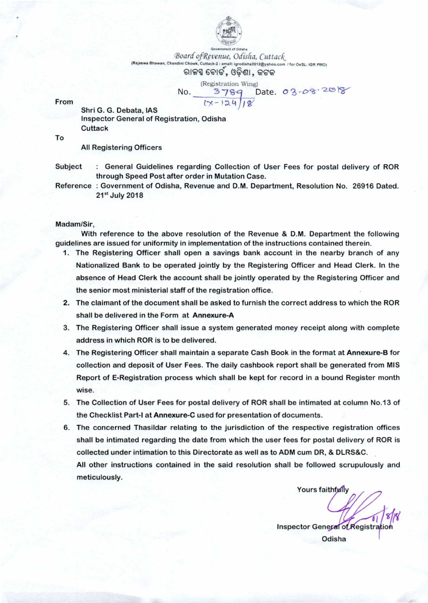

**Government of Odisha** *Board ofRevenue, Odisfia, Cuttack*  **(Rajaswil Woman. Chandini Chowk. Cuttack-2 : email: igroclisha2012@yahoo.com / for OeSI IGR onto,**  ରାଜସ୍ୱ ବୋଡ଼, ଓଡିଶା, କଟକ

**(Registration Wing)**  No. 3789 Date. 03-08-2018 From  $1x-124/18$ 

Shri G. G. Debata, IAS Inspector General of Registration, Odisha **Cuttack** 

To

All Registering Officers

Subject : General Guidelines regarding Collection of User Fees for postal delivery of ROR through Speed Post after order in Mutation Case.

Reference : Government of Odisha, Revenue and D.M. Department, Resolution No. 26916 Dated. 21st July 2018

#### Madam/Sir,

With reference to the above resolution of the Revenue & D.M. Department the following guidelines are issued for uniformity in implementation of the instructions contained therein.

- 1. The Registering Officer shall open a savings bank account in the nearby branch of any Nationalized Bank to be operated jointly by the Registering Officer and Head Clerk. In the absence of Head Clerk the account shall be jointly operated by the Registering Officer and the senior most ministerial staff of the registration office.
- 2. The claimant of the document shall be asked to furnish the correct address to which the ROR shall be delivered in the Form at Annexure-A
- 3. The Registering Officer shall issue a system generated money receipt along with complete address in which ROR is to be delivered.
- 4. The Registering Officer shall maintain a separate Cash Book in the format at Annexure-B for collection and deposit of User Fees. The daily cashbook report shall be generated from MIS Report of E-Registration process which shall be kept for record in a bound Register month wise.
- 5. The Collection of User Fees for postal delivery of ROR shall be intimated at column No.13 of the Checklist Part-I at **Annexure-C** used for presentation of documents.
- 6. The concerned Thasildar relating to the jurisdiction of the respective registration offices shall be intimated regarding the date from which the user fees for postal delivery of ROR is collected under intimation to this Directorate as well as to ADM cum DR, & DLRS&C. All other instructions contained in the said resolution shall be followed scrupulously and meticulously.

Yours faithfully

 $-18/8$ Inspector General of Registration Odisha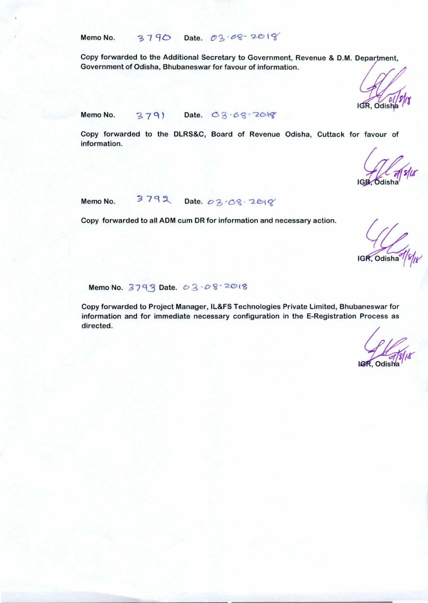Memo No.  $3790$  Date. 03.68.2018

Copy forwarded to the Additional Secretary to Government, Revenue & D.M. Department, Government of Odisha, Bhubaneswar for favour of information.

IGR, Odisha

Memo No.  $379$  Date. C  $3 - 68 - 2018$ 

Copy forwarded to the DLRS&C, Board of Revenue Odisha, Cuttack for favour of information.

Memo No. 3792 Date. 03.08.2018

Copy forwarded to all ADM cum DR for information and necessary action.

 $\sqrt{\frac{1}{16R}}$ , Odisha<sup>9</sup>

Memo No.  $3793$  Date.  $03 -08 - 2018$ 

Copy forwarded to Project Manager, IL&FS Technologies Private Limited, Bhubaneswar for information and for immediate necessary configuration in the E-Registration Process as directed.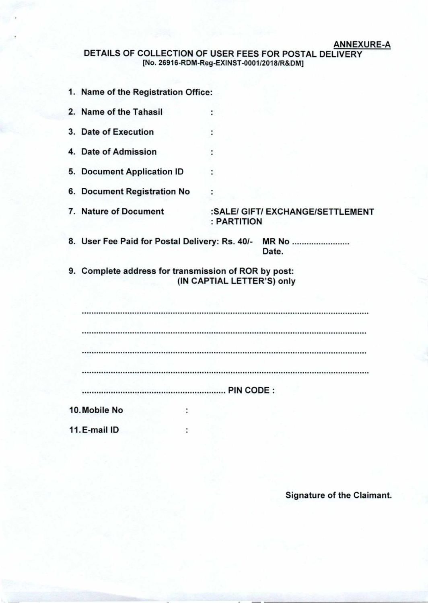### **ANNEXURE-A**

### **DETAILS OF COLLECTION OF USER FEES FOR POSTAL DELIVERY [No. 26916-RDM-Reg-EXINST-0001/2018/R&DM]**

÷

÷

÷

 $\ddot{\phantom{a}}$ 

 $\ddot{\cdot}$ 

- **1. Name of the Registration Office:**
- **2. Name of the Tahasil**
- **3. Date of Execution**
- **4. Date of Admission**
- **5. Document Application ID**
- **6. Document Registration No**
- 
- 7. Nature of Document :SALE/ GIFT/ EXCHANGE/SETTLEMENT **: PARTITION**
- **8. User Fee Paid for Postal Delivery: Rs. 40/- MR No Date.**
- **9. Complete address for transmission of ROR by post: (IN CAPTIAL LETTER'S) only**

| <br><b>PIN CODE:</b> |
|----------------------|

**11.E-mail ID** 

**Signature of the Claimant.**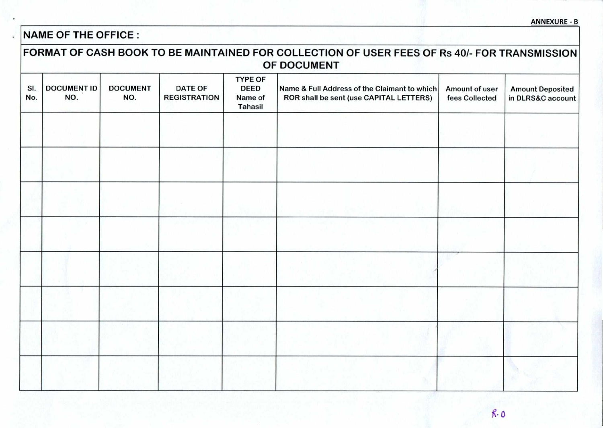# **NAME OF THE OFFICE :**

 $\overline{\phantom{a}}$ 

|            | OF DOCUMENT               |                        |                                       |                                                            |                                                                                         |                                  |                                              |
|------------|---------------------------|------------------------|---------------------------------------|------------------------------------------------------------|-----------------------------------------------------------------------------------------|----------------------------------|----------------------------------------------|
| SI.<br>No. | <b>DOCUMENT ID</b><br>NO. | <b>DOCUMENT</b><br>NO. | <b>DATE OF</b><br><b>REGISTRATION</b> | <b>TYPE OF</b><br><b>DEED</b><br>Name of<br><b>Tahasil</b> | Name & Full Address of the Claimant to which<br>ROR shall be sent (use CAPITAL LETTERS) | Amount of user<br>fees Collected | <b>Amount Deposited</b><br>in DLRS&C account |
|            |                           |                        |                                       |                                                            |                                                                                         |                                  |                                              |
|            |                           |                        |                                       |                                                            |                                                                                         |                                  |                                              |
|            |                           |                        |                                       |                                                            |                                                                                         |                                  |                                              |
|            |                           |                        |                                       |                                                            |                                                                                         |                                  |                                              |
|            |                           |                        |                                       |                                                            |                                                                                         |                                  |                                              |
|            |                           |                        |                                       |                                                            |                                                                                         |                                  |                                              |
|            |                           |                        |                                       |                                                            |                                                                                         |                                  |                                              |
|            |                           |                        |                                       |                                                            |                                                                                         |                                  |                                              |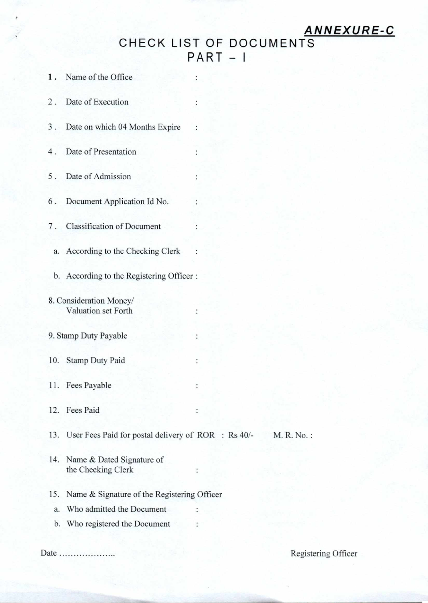## **ANNEXURE-C**

CHECK LIST OF DOCUMENTS  $PART - I$ 

 $\ddot{\phantom{0}}$ 

 $\ddot{\cdot}$ 

:

 $\ddot{\phantom{0}}$ 

 $\ddot{\cdot}$ 

 $\cdot$ 

 $\ddot{\cdot}$ 

 $\ddot{\phantom{0}}$ 

t

 $\ddot{\cdot}$ 

- **1. Name of the Office**
- **2 . Date of Execution**
- **3 . Date on which 04 Months Expire**
- **4 . Date of Presentation**
- **5 . Date of Admission**
- **6 . Document Application Id No.**
- **7 . Classification of Document** 
	- **a. According to the Checking Clerk :**
	- **b. According to the Registering Officer :**
- **8. Consideration Money/ Valuation set Forth**
- **9. Stamp Duty Payable**
- **10. Stamp Duty Paid**
- **11. Fees Payable**
- **12. Fees Paid**
- **13. User Fees Paid for postal delivery of ROR :** Rs 40/- **M. R. No. :**
- **14. Name & Dated Signature of the Checking Clerk**
- **15. Name & Signature of the Registering Officer** 
	- **a. Who admitted the Document**
	- **b. Who registered the Document**

**Date Registering Officer**